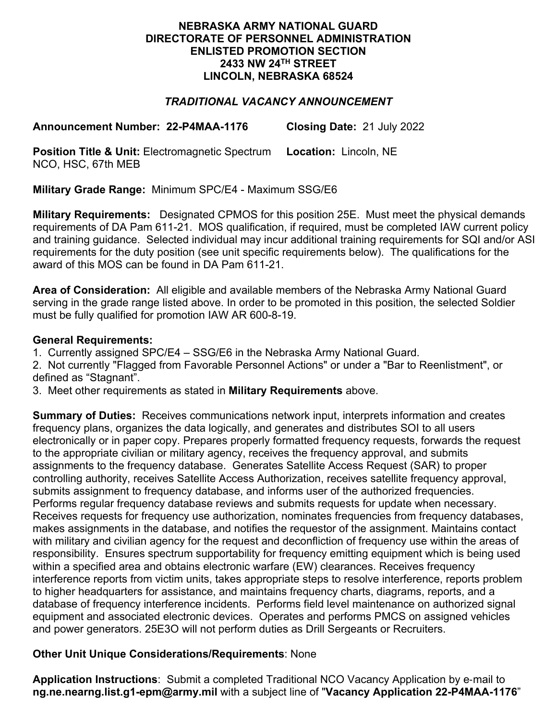## **NEBRASKA ARMY NATIONAL GUARD DIRECTORATE OF PERSONNEL ADMINISTRATION ENLISTED PROMOTION SECTION 2433 NW 24TH STREET LINCOLN, NEBRASKA 68524**

# *TRADITIONAL VACANCY ANNOUNCEMENT*

**Announcement Number: 22-P4MAA-1176 Closing Date:** 21 July 2022

**Position Title & Unit: Electromagnetic Spectrum** NCO, HSC, 67th MEB **Location:** Lincoln, NE

**Military Grade Range:** Minimum SPC/E4 - Maximum SSG/E6

**Military Requirements:** Designated CPMOS for this position 25E. Must meet the physical demands requirements of DA Pam 611-21. MOS qualification, if required, must be completed IAW current policy and training guidance. Selected individual may incur additional training requirements for SQI and/or ASI requirements for the duty position (see unit specific requirements below). The qualifications for the award of this MOS can be found in DA Pam 611-21.

**Area of Consideration:** All eligible and available members of the Nebraska Army National Guard serving in the grade range listed above. In order to be promoted in this position, the selected Soldier must be fully qualified for promotion IAW AR 600-8-19.

## **General Requirements:**

1. Currently assigned SPC/E4 – SSG/E6 in the Nebraska Army National Guard.

2. Not currently "Flagged from Favorable Personnel Actions" or under a "Bar to Reenlistment", or defined as "Stagnant".

3. Meet other requirements as stated in **Military Requirements** above.

**Summary of Duties:** Receives communications network input, interprets information and creates frequency plans, organizes the data logically, and generates and distributes SOI to all users electronically or in paper copy. Prepares properly formatted frequency requests, forwards the request to the appropriate civilian or military agency, receives the frequency approval, and submits assignments to the frequency database. Generates Satellite Access Request (SAR) to proper controlling authority, receives Satellite Access Authorization, receives satellite frequency approval, submits assignment to frequency database, and informs user of the authorized frequencies. Performs regular frequency database reviews and submits requests for update when necessary. Receives requests for frequency use authorization, nominates frequencies from frequency databases, makes assignments in the database, and notifies the requestor of the assignment. Maintains contact with military and civilian agency for the request and deconfliction of frequency use within the areas of responsibility. Ensures spectrum supportability for frequency emitting equipment which is being used within a specified area and obtains electronic warfare (EW) clearances. Receives frequency interference reports from victim units, takes appropriate steps to resolve interference, reports problem to higher headquarters for assistance, and maintains frequency charts, diagrams, reports, and a database of frequency interference incidents. Performs field level maintenance on authorized signal equipment and associated electronic devices. Operates and performs PMCS on assigned vehicles and power generators. 25E3O will not perform duties as Drill Sergeants or Recruiters.

# **Other Unit Unique Considerations/Requirements**: None

**Application Instructions**: Submit a completed Traditional NCO Vacancy Application by e-mail to **ng.ne.nearng.list.g1-epm@army.mil** with a subject line of "**Vacancy Application 22-P4MAA-1176**"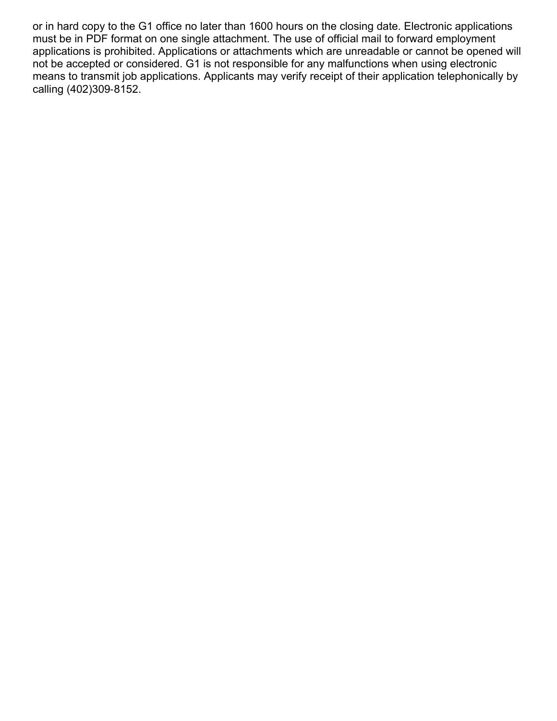or in hard copy to the G1 office no later than 1600 hours on the closing date. Electronic applications must be in PDF format on one single attachment. The use of official mail to forward employment applications is prohibited. Applications or attachments which are unreadable or cannot be opened will not be accepted or considered. G1 is not responsible for any malfunctions when using electronic means to transmit job applications. Applicants may verify receipt of their application telephonically by calling (402)309-8152.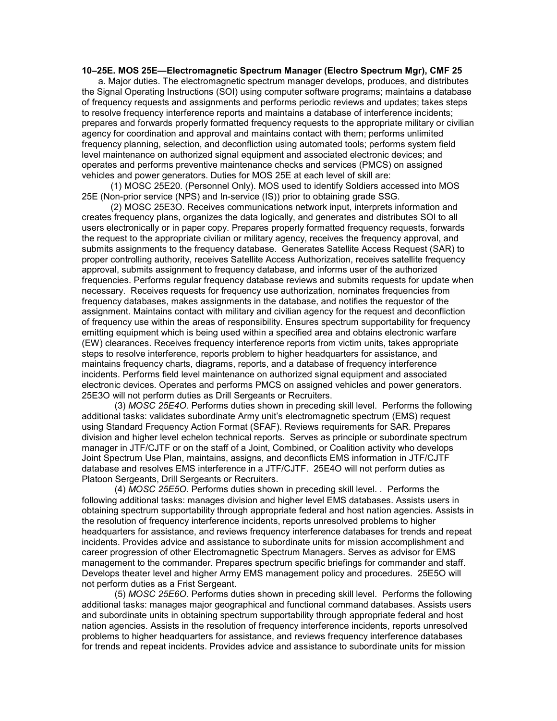#### 10–25E. MOS 25E—Electromagnetic Spectrum Manager (Electro Spectrum Mgr), CMF 25

 a. Major duties. The electromagnetic spectrum manager develops, produces, and distributes the Signal Operating Instructions (SOI) using computer software programs; maintains a database of frequency requests and assignments and performs periodic reviews and updates; takes steps to resolve frequency interference reports and maintains a database of interference incidents; prepares and forwards properly formatted frequency requests to the appropriate military or civilian agency for coordination and approval and maintains contact with them; performs unlimited frequency planning, selection, and deconfliction using automated tools; performs system field level maintenance on authorized signal equipment and associated electronic devices; and operates and performs preventive maintenance checks and services (PMCS) on assigned vehicles and power generators. Duties for MOS 25E at each level of skill are:

(1) MOSC 25E20. (Personnel Only). MOS used to identify Soldiers accessed into MOS 25E (Non-prior service (NPS) and In-service (IS)) prior to obtaining grade SSG.

(2) MOSC 25E3O. Receives communications network input, interprets information and creates frequency plans, organizes the data logically, and generates and distributes SOI to all users electronically or in paper copy. Prepares properly formatted frequency requests, forwards the request to the appropriate civilian or military agency, receives the frequency approval, and submits assignments to the frequency database. Generates Satellite Access Request (SAR) to proper controlling authority, receives Satellite Access Authorization, receives satellite frequency approval, submits assignment to frequency database, and informs user of the authorized frequencies. Performs regular frequency database reviews and submits requests for update when necessary. Receives requests for frequency use authorization, nominates frequencies from frequency databases, makes assignments in the database, and notifies the requestor of the assignment. Maintains contact with military and civilian agency for the request and deconfliction of frequency use within the areas of responsibility. Ensures spectrum supportability for frequency emitting equipment which is being used within a specified area and obtains electronic warfare (EW) clearances. Receives frequency interference reports from victim units, takes appropriate steps to resolve interference, reports problem to higher headquarters for assistance, and maintains frequency charts, diagrams, reports, and a database of frequency interference incidents. Performs field level maintenance on authorized signal equipment and associated electronic devices. Operates and performs PMCS on assigned vehicles and power generators. 25E3O will not perform duties as Drill Sergeants or Recruiters.

(3) MOSC 25E4O. Performs duties shown in preceding skill level. Performs the following additional tasks: validates subordinate Army unit's electromagnetic spectrum (EMS) request using Standard Frequency Action Format (SFAF). Reviews requirements for SAR. Prepares division and higher level echelon technical reports. Serves as principle or subordinate spectrum manager in JTF/CJTF or on the staff of a Joint, Combined, or Coalition activity who develops Joint Spectrum Use Plan, maintains, assigns, and deconflicts EMS information in JTF/CJTF database and resolves EMS interference in a JTF/CJTF. 25E4O will not perform duties as Platoon Sergeants, Drill Sergeants or Recruiters.

(4) MOSC 25E5O. Performs duties shown in preceding skill level. . Performs the following additional tasks: manages division and higher level EMS databases. Assists users in obtaining spectrum supportability through appropriate federal and host nation agencies. Assists in the resolution of frequency interference incidents, reports unresolved problems to higher headquarters for assistance, and reviews frequency interference databases for trends and repeat incidents. Provides advice and assistance to subordinate units for mission accomplishment and career progression of other Electromagnetic Spectrum Managers. Serves as advisor for EMS management to the commander. Prepares spectrum specific briefings for commander and staff. Develops theater level and higher Army EMS management policy and procedures. 25E5O will not perform duties as a Frist Sergeant.

(5) MOSC 25E6O. Performs duties shown in preceding skill level. Performs the following additional tasks: manages major geographical and functional command databases. Assists users and subordinate units in obtaining spectrum supportability through appropriate federal and host nation agencies. Assists in the resolution of frequency interference incidents, reports unresolved problems to higher headquarters for assistance, and reviews frequency interference databases for trends and repeat incidents. Provides advice and assistance to subordinate units for mission